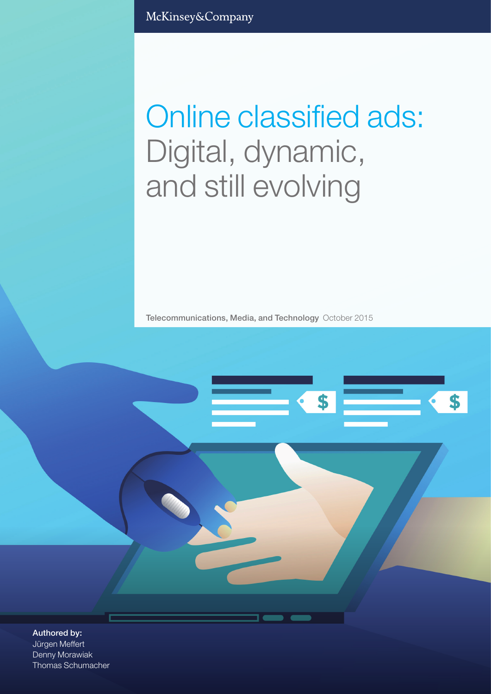McKinsey&Company

# Online classified ads: Digital, dynamic, and still evolving

Telecommunications, Media, and Technology October 2015

\$

Authored by: Jürgen Meffert Denny Morawiak Thomas Schumacher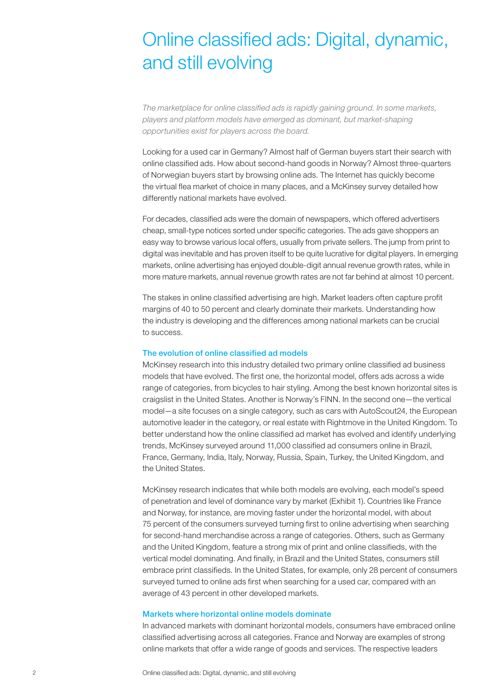# Online classified ads: Digital, dynamic, and still evolving

*The marketplace for online classified ads is rapidly gaining ground. In some markets, players and platform models have emerged as dominant, but market-shaping opportunities exist for players across the board.*

Looking for a used car in Germany? Almost half of German buyers start their search with online classified ads. How about second-hand goods in Norway? Almost three-quarters of Norwegian buyers start by browsing online ads. The Internet has quickly become the virtual flea market of choice in many places, and a McKinsey survey detailed how differently national markets have evolved.

For decades, classified ads were the domain of newspapers, which offered advertisers cheap, small-type notices sorted under specific categories. The ads gave shoppers an easy way to browse various local offers, usually from private sellers. The jump from print to digital was inevitable and has proven itself to be quite lucrative for digital players. In emerging markets, online advertising has enjoyed double-digit annual revenue growth rates, while in more mature markets, annual revenue growth rates are not far behind at almost 10 percent.

The stakes in online classified advertising are high. Market leaders often capture profit margins of 40 to 50 percent and clearly dominate their markets. Understanding how the industry is developing and the differences among national markets can be crucial to success.

#### The evolution of online classified ad models

McKinsey research into this industry detailed two primary online classified ad business models that have evolved. The first one, the horizontal model, offers ads across a wide range of categories, from bicycles to hair styling. Among the best known horizontal sites is craigslist in the United States. Another is Norway's FINN. In the second one—the vertical model—a site focuses on a single category, such as cars with AutoScout24, the European automotive leader in the category, or real estate with Rightmove in the United Kingdom. To better understand how the online classified ad market has evolved and identify underlying trends, McKinsey surveyed around 11,000 classified ad consumers online in Brazil, France, Germany, India, Italy, Norway, Russia, Spain, Turkey, the United Kingdom, and the United States.

McKinsey research indicates that while both models are evolving, each model's speed of penetration and level of dominance vary by market (Exhibit 1). Countries like France and Norway, for instance, are moving faster under the horizontal model, with about 75 percent of the consumers surveyed turning first to online advertising when searching for second-hand merchandise across a range of categories. Others, such as Germany and the United Kingdom, feature a strong mix of print and online classifieds, with the vertical model dominating. And finally, in Brazil and the United States, consumers still embrace print classifieds. In the United States, for example, only 28 percent of consumers surveyed turned to online ads first when searching for a used car, compared with an average of 43 percent in other developed markets.

# Markets where horizontal online models dominate

In advanced markets with dominant horizontal models, consumers have embraced online classified advertising across all categories. France and Norway are examples of strong online markets that offer a wide range of goods and services. The respective leaders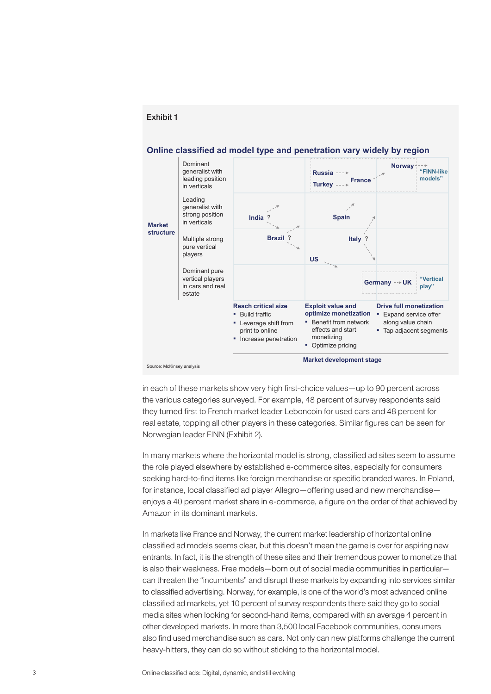

Exhibit 1

in each of these markets show very high first-choice values—up to 90 percent across the various categories surveyed. For example, 48 percent of survey respondents said they turned first to French market leader Leboncoin for used cars and 48 percent for real estate, topping all other players in these categories. Similar figures can be seen for Norwegian leader FINN (Exhibit 2).

In many markets where the horizontal model is strong, classified ad sites seem to assume the role played elsewhere by established e-commerce sites, especially for consumers seeking hard-to-find items like foreign merchandise or specific branded wares. In Poland, for instance, local classified ad player Allegro—offering used and new merchandise enjoys a 40 percent market share in e-commerce, a figure on the order of that achieved by Amazon in its dominant markets.

In markets like France and Norway, the current market leadership of horizontal online classified ad models seems clear, but this doesn't mean the game is over for aspiring new entrants. In fact, it is the strength of these sites and their tremendous power to monetize that is also their weakness. Free models—born out of social media communities in particular can threaten the "incumbents" and disrupt these markets by expanding into services similar to classified advertising. Norway, for example, is one of the world's most advanced online classified ad markets, yet 10 percent of survey respondents there said they go to social media sites when looking for second-hand items, compared with an average 4 percent in other developed markets. In more than 3,500 local Facebook communities, consumers also find used merchandise such as cars. Not only can new platforms challenge the current heavy-hitters, they can do so without sticking to the horizontal model.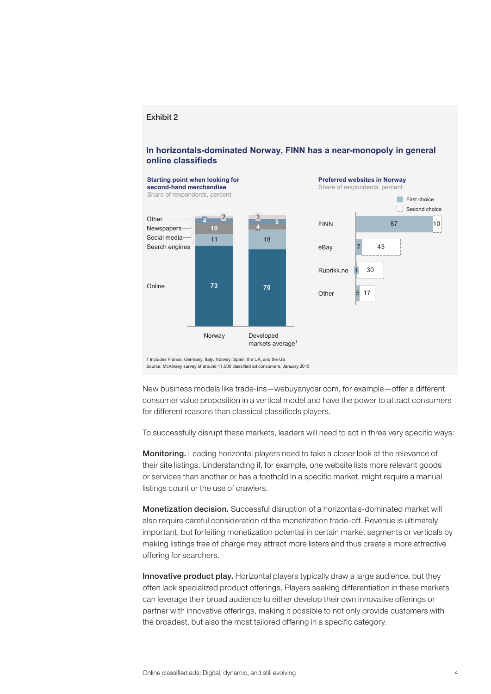#### Exhibit 2

# **In horizontals-dominated Norway, FINN has a near-monopoly in general online classifieds**



Source: McKinsey survey of around 11,000 classified ad consumers, January 2015

New business models like trade-ins—webuyanycar.com, for example—offer a different consumer value proposition in a vertical model and have the power to attract consumers for different reasons than classical classifieds players.

To successfully disrupt these markets, leaders will need to act in three very specific ways:

Monitoring. Leading horizontal players need to take a closer look at the relevance of their site listings. Understanding if, for example, one website lists more relevant goods or services than another or has a foothold in a specific market, might require a manual listings count or the use of crawlers.

Monetization decision. Successful disruption of a horizontals-dominated market will also require careful consideration of the monetization trade-off. Revenue is ultimately important, but forfeiting monetization potential in certain market segments or verticals by making listings free of charge may attract more listers and thus create a more attractive offering for searchers.

Innovative product play. Horizontal players typically draw a large audience, but they often lack specialized product offerings. Players seeking differentiation in these markets can leverage their broad audience to either develop their own innovative offerings or partner with innovative offerings, making it possible to not only provide customers with the broadest, but also the most tailored offering in a specific category.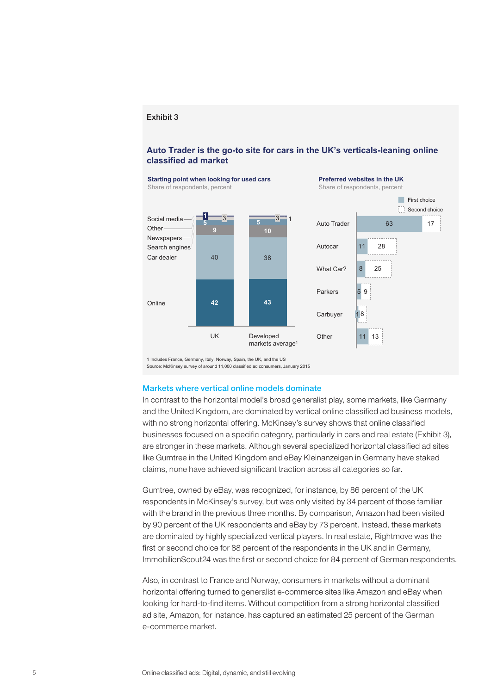#### Exhibit 3

# **Auto Trader is the go-to site for cars in the UK's verticals-leaning online classified ad market**



Source: McKinsey survey of around 11,000 classified ad consumers, January 2015

#### Markets where vertical online models dominate

In contrast to the horizontal model's broad generalist play, some markets, like Germany and the United Kingdom, are dominated by vertical online classified ad business models, with no strong horizontal offering. McKinsey's survey shows that online classified businesses focused on a specific category, particularly in cars and real estate (Exhibit 3), are stronger in these markets. Although several specialized horizontal classified ad sites like Gumtree in the United Kingdom and eBay Kleinanzeigen in Germany have staked claims, none have achieved significant traction across all categories so far.

Gumtree, owned by eBay, was recognized, for instance, by 86 percent of the UK respondents in McKinsey's survey, but was only visited by 34 percent of those familiar with the brand in the previous three months. By comparison, Amazon had been visited by 90 percent of the UK respondents and eBay by 73 percent. Instead, these markets are dominated by highly specialized vertical players. In real estate, Rightmove was the first or second choice for 88 percent of the respondents in the UK and in Germany, ImmobilienScout24 was the first or second choice for 84 percent of German respondents.

Also, in contrast to France and Norway, consumers in markets without a dominant horizontal offering turned to generalist e-commerce sites like Amazon and eBay when looking for hard-to-find items. Without competition from a strong horizontal classified ad site, Amazon, for instance, has captured an estimated 25 percent of the German e-commerce market.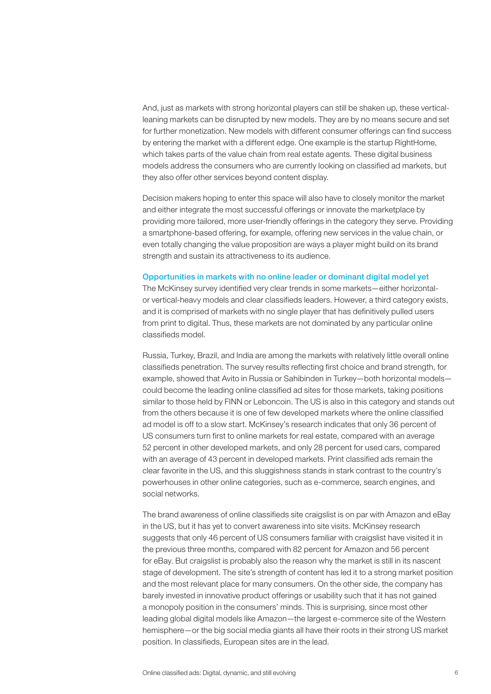And, just as markets with strong horizontal players can still be shaken up, these verticalleaning markets can be disrupted by new models. They are by no means secure and set for further monetization. New models with different consumer offerings can find success by entering the market with a different edge. One example is the startup RightHome, which takes parts of the value chain from real estate agents. These digital business models address the consumers who are currently looking on classified ad markets, but they also offer other services beyond content display.

Decision makers hoping to enter this space will also have to closely monitor the market and either integrate the most successful offerings or innovate the marketplace by providing more tailored, more user-friendly offerings in the category they serve. Providing a smartphone-based offering, for example, offering new services in the value chain, or even totally changing the value proposition are ways a player might build on its brand strength and sustain its attractiveness to its audience.

### Opportunities in markets with no online leader or dominant digital model yet

The McKinsey survey identified very clear trends in some markets—either horizontalor vertical-heavy models and clear classifieds leaders. However, a third category exists, and it is comprised of markets with no single player that has definitively pulled users from print to digital. Thus, these markets are not dominated by any particular online classifieds model.

Russia, Turkey, Brazil, and India are among the markets with relatively little overall online classifieds penetration. The survey results reflecting first choice and brand strength, for example, showed that Avito in Russia or Sahibinden in Turkey—both horizontal models could become the leading online classified ad sites for those markets, taking positions similar to those held by FINN or Leboncoin. The US is also in this category and stands out from the others because it is one of few developed markets where the online classified ad model is off to a slow start. McKinsey's research indicates that only 36 percent of US consumers turn first to online markets for real estate, compared with an average 52 percent in other developed markets, and only 28 percent for used cars, compared with an average of 43 percent in developed markets. Print classified ads remain the clear favorite in the US, and this sluggishness stands in stark contrast to the country's powerhouses in other online categories, such as e-commerce, search engines, and social networks.

The brand awareness of online classifieds site craigslist is on par with Amazon and eBay in the US, but it has yet to convert awareness into site visits. McKinsey research suggests that only 46 percent of US consumers familiar with craigslist have visited it in the previous three months, compared with 82 percent for Amazon and 56 percent for eBay. But craigslist is probably also the reason why the market is still in its nascent stage of development. The site's strength of content has led it to a strong market position and the most relevant place for many consumers. On the other side, the company has barely invested in innovative product offerings or usability such that it has not gained a monopoly position in the consumers' minds. This is surprising, since most other leading global digital models like Amazon—the largest e-commerce site of the Western hemisphere—or the big social media giants all have their roots in their strong US market position. In classifieds, European sites are in the lead.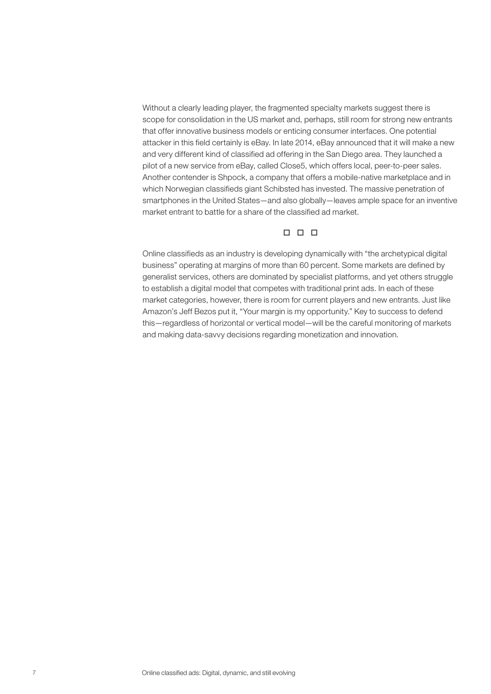Without a clearly leading player, the fragmented specialty markets suggest there is scope for consolidation in the US market and, perhaps, still room for strong new entrants that offer innovative business models or enticing consumer interfaces. One potential attacker in this field certainly is eBay. In late 2014, eBay announced that it will make a new and very different kind of classified ad offering in the San Diego area. They launched a pilot of a new service from eBay, called Close5, which offers local, peer-to-peer sales. Another contender is Shpock, a company that offers a mobile-native marketplace and in which Norwegian classifieds giant Schibsted has invested. The massive penetration of smartphones in the United States—and also globally—leaves ample space for an inventive market entrant to battle for a share of the classified ad market.

# $n n n$

Online classifieds as an industry is developing dynamically with "the archetypical digital business" operating at margins of more than 60 percent. Some markets are defined by generalist services, others are dominated by specialist platforms, and yet others struggle to establish a digital model that competes with traditional print ads. In each of these market categories, however, there is room for current players and new entrants. Just like Amazon's Jeff Bezos put it, "Your margin is my opportunity." Key to success to defend this—regardless of horizontal or vertical model—will be the careful monitoring of markets and making data-savvy decisions regarding monetization and innovation.